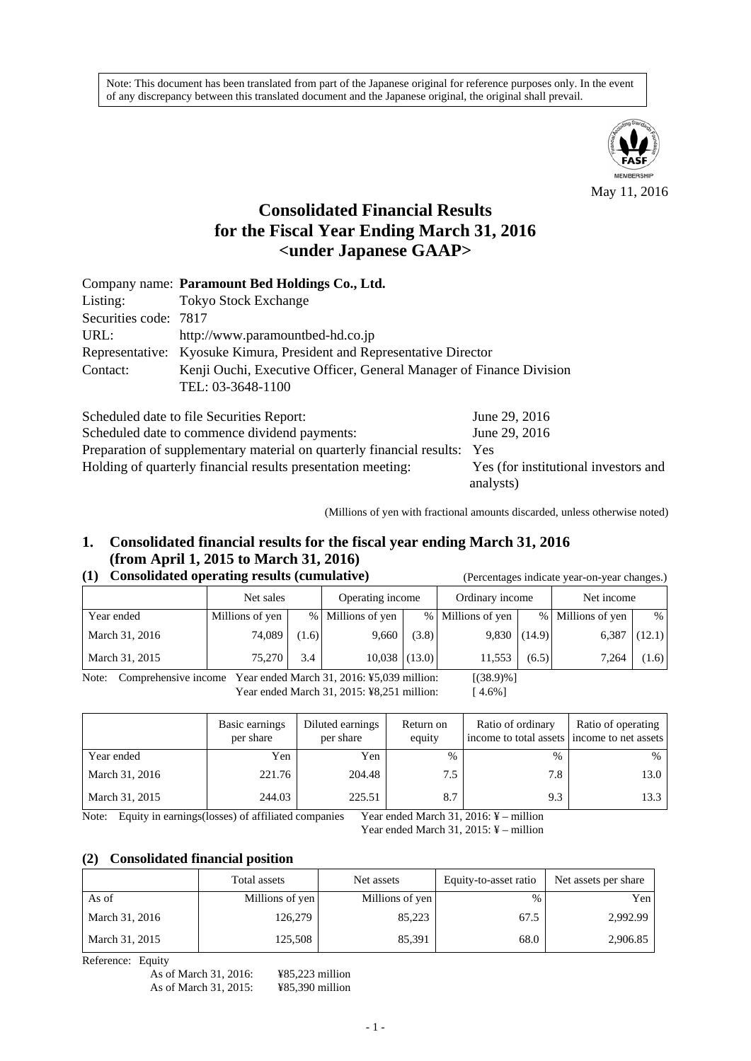Note: This document has been translated from part of the Japanese original for reference purposes only. In the event of any discrepancy between this translated document and the Japanese original, the original shall prevail.



May 11, 2016

# **Consolidated Financial Results for the Fiscal Year Ending March 31, 2016 <under Japanese GAAP>**

|                       | Company name: Paramount Bed Holdings Co., Ltd.                        |
|-----------------------|-----------------------------------------------------------------------|
| Listing:              | <b>Tokyo Stock Exchange</b>                                           |
| Securities code: 7817 |                                                                       |
| URL:                  | http://www.paramountbed-hd.co.jp                                      |
|                       | Representative: Kyosuke Kimura, President and Representative Director |
| Contact:              | Kenji Ouchi, Executive Officer, General Manager of Finance Division   |
|                       | TEL: 03-3648-1100                                                     |
|                       |                                                                       |

| Scheduled date to file Securities Report:                                 | June 29, 2016                        |
|---------------------------------------------------------------------------|--------------------------------------|
| Scheduled date to commence dividend payments:                             | June 29, 2016                        |
| Preparation of supplementary material on quarterly financial results: Yes |                                      |
| Holding of quarterly financial results presentation meeting:              | Yes (for institutional investors and |
|                                                                           | analysts)                            |

(Millions of yen with fractional amounts discarded, unless otherwise noted)

# **1. Consolidated financial results for the fiscal year ending March 31, 2016 (from April 1, 2015 to March 31, 2016)**

# **(1) Consolidated operating results (cumulative)** (Percentages indicate year-on-year changes.)

|                | Net sales       |       | Operating income  |       | Ordinary income   |                | Net income        |        |
|----------------|-----------------|-------|-------------------|-------|-------------------|----------------|-------------------|--------|
| Year ended     | Millions of yen |       | % Millions of yen |       | % Millions of yen |                | % Millions of yen | %      |
| March 31, 2016 | 74,089          | (1.6) | 9,660             | (3.8) |                   | $9,830$ (14.9) | 6,387             | (12.1) |
| March 31, 2015 | 75.270          | 3.4   | $10,038$ (13.0)   |       | 11,553            | (6.5)          | 7,264             | (1.6)  |

Note: Comprehensive income Year ended March 31, 2016: ¥5,039 million: [(38.9)%] Year ended March 31, 2015: ¥8,251 million: [ 4.6%]

|                | Basic earnings<br>per share | Diluted earnings<br>per share | Return on<br>equity | Ratio of ordinary<br>income to total assets income to net assets | Ratio of operating |
|----------------|-----------------------------|-------------------------------|---------------------|------------------------------------------------------------------|--------------------|
| Year ended     | Yen                         | Yen                           | $\frac{0}{0}$       | $\frac{0}{0}$                                                    | %                  |
| March 31, 2016 | 221.76                      | 204.48                        | 7.5                 | 7.8                                                              | 13.0               |
| March 31, 2015 | 244.03                      | 225.51                        | 8.7                 | 9.3                                                              | 13.3               |

Note: Equity in earnings (losses) of affiliated companies Year ended March 31, 2016: ¥ – million

Year ended March 31, 2015: ¥ – million

#### **(2) Consolidated financial position**

|                | Total assets    | Net assets      | Equity-to-asset ratio | Net assets per share |
|----------------|-----------------|-----------------|-----------------------|----------------------|
| As of          | Millions of yen | Millions of yen | %                     | Yen                  |
| March 31, 2016 | 126,279         | 85.223          | 67.5                  | 2,992.99             |
| March 31, 2015 | 125,508         | 85.391          | 68.0                  | 2,906.85             |

Reference: Equity

As of March 31, 2016: ¥85,223 million<br>As of March 31, 2015: ¥85,390 million As of March 31, 2015: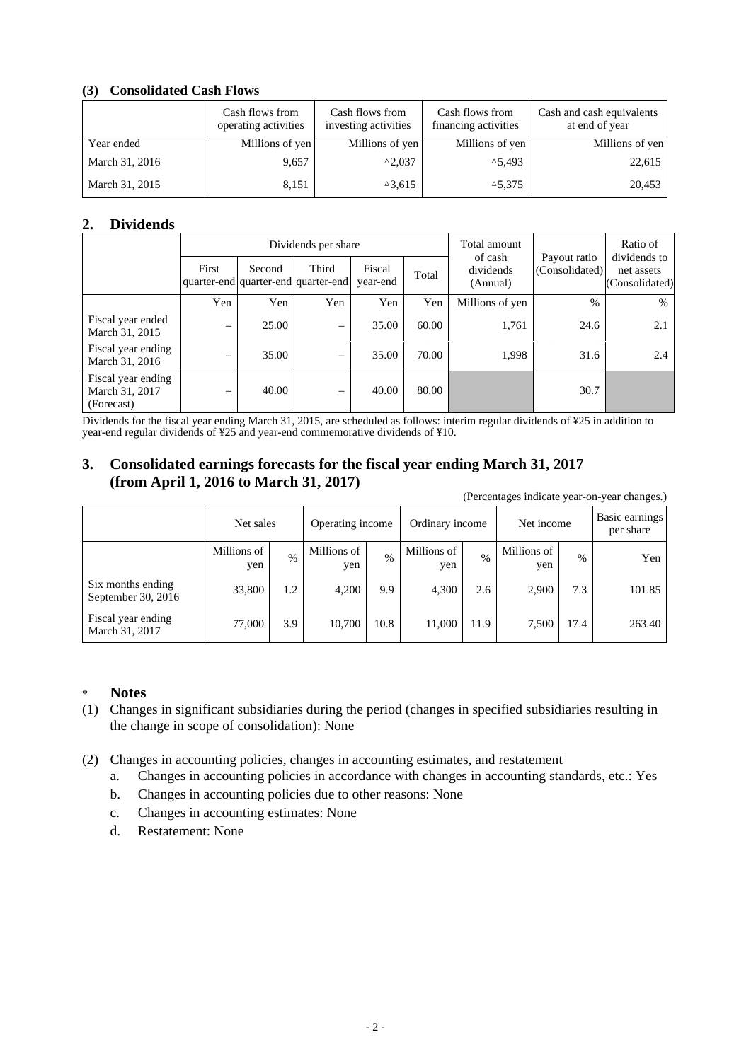### **(3) Consolidated Cash Flows**

|                | Cash flows from<br>operating activities | Cash flows from<br>investing activities | Cash flows from<br>financing activities | Cash and cash equivalents<br>at end of year |
|----------------|-----------------------------------------|-----------------------------------------|-----------------------------------------|---------------------------------------------|
| Year ended     | Millions of yen                         | Millions of yen                         | Millions of yen                         | Millions of yen                             |
| March 31, 2016 | 9,657                                   | $^{\triangle}2.037$                     | $\triangle 5.493$                       | 22,615                                      |
| March 31, 2015 | 8,151                                   | $\triangle 3,615$                       | $^{\triangle}5,375$                     | 20,453                                      |

# **2. Dividends**

|                                                    |                   |        | Dividends per share                          |                    | Total amount |                                  | Ratio of                       |                                              |
|----------------------------------------------------|-------------------|--------|----------------------------------------------|--------------------|--------------|----------------------------------|--------------------------------|----------------------------------------------|
|                                                    | First             | Second | Third<br>quarter-end quarter-end quarter-end | Fiscal<br>year-end | Total        | of cash<br>dividends<br>(Annual) | Payout ratio<br>(Consolidated) | dividends to<br>net assets<br>(Consolidated) |
|                                                    | Yen               | Yen    | Yen                                          | Yen                | Yen          | Millions of yen                  | $\%$                           | $\%$                                         |
| Fiscal year ended<br>March 31, 2015                | $\qquad \qquad -$ | 25.00  | -                                            | 35.00              | 60.00        | 1,761                            | 24.6                           | 2.1                                          |
| Fiscal year ending<br>March 31, 2016               | -                 | 35.00  | $\overline{\phantom{0}}$                     | 35.00              | 70.00        | 1,998                            | 31.6                           | 2.4                                          |
| Fiscal year ending<br>March 31, 2017<br>(Forecast) | $\qquad \qquad$   | 40.00  |                                              | 40.00              | 80.00        |                                  | 30.7                           |                                              |

Dividends for the fiscal year ending March 31, 2015, are scheduled as follows: interim regular dividends of ¥25 in addition to year-end regular dividends of ¥25 and year-end commemorative dividends of ¥10.

# **3. Consolidated earnings forecasts for the fiscal year ending March 31, 2017 (from April 1, 2016 to March 31, 2017)**

(Percentages indicate year-on-year changes.)

|                                         | Net sales          |      | Operating income   |      | Ordinary income    |               | Net income         |               | Basic earnings<br>per share |
|-----------------------------------------|--------------------|------|--------------------|------|--------------------|---------------|--------------------|---------------|-----------------------------|
|                                         | Millions of<br>yen | $\%$ | Millions of<br>yen | $\%$ | Millions of<br>yen | $\frac{0}{0}$ | Millions of<br>yen | $\frac{0}{0}$ | Yen                         |
| Six months ending<br>September 30, 2016 | 33,800             | 1.2  | 4,200              | 9.9  | 4,300              | 2.6           | 2,900              | 7.3           | 101.85                      |
| Fiscal year ending<br>March 31, 2017    | 77,000             | 3.9  | 10,700             | 10.8 | 11,000             | 11.9          | 7,500              | 17.4          | 263.40                      |

### \* **Notes**

- (1) Changes in significant subsidiaries during the period (changes in specified subsidiaries resulting in the change in scope of consolidation): None
- (2) Changes in accounting policies, changes in accounting estimates, and restatement
	- a. Changes in accounting policies in accordance with changes in accounting standards, etc.: Yes
	- b. Changes in accounting policies due to other reasons: None
	- c. Changes in accounting estimates: None
	- d. Restatement: None